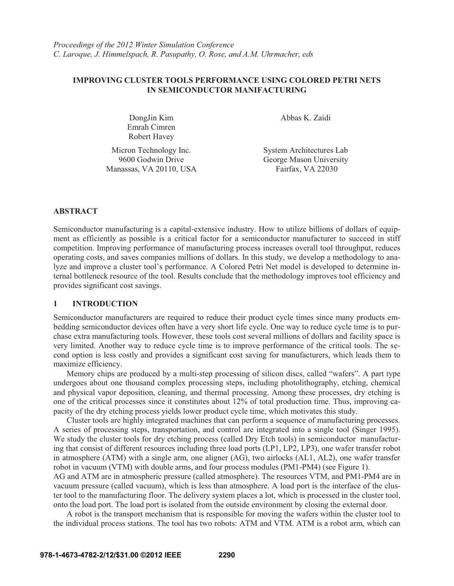## **IMPROVING CLUSTER TOOLS PERFORMANCE USING COLORED PETRI NETS IN SEMICONDUCTOR MANIFACTURING**

DongJin Kim Emrah Cimren Robert Havey

Abbas K. Zaidi

Micron Technology Inc. 9600 Godwin Drive Manassas, VA 20110, USA System Architectures Lab George Mason University Fairfax, VA 22030

## **ABSTRACT**

Semiconductor manufacturing is a capital-extensive industry. How to utilize billions of dollars of equipment as efficiently as possible is a critical factor for a semiconductor manufacturer to succeed in stiff competition. Improving performance of manufacturing process increases overall tool throughput, reduces operating costs, and saves companies millions of dollars. In this study, we develop a methodology to analyze and improve a cluster tool's performance. A Colored Petri Net model is developed to determine internal bottleneck resource of the tool. Results conclude that the methodology improves tool efficiency and provides significant cost savings.

## **1 INTRODUCTION**

Semiconductor manufacturers are required to reduce their product cycle times since many products embedding semiconductor devices often have a very short life cycle. One way to reduce cycle time is to purchase extra manufacturing tools. However, these tools cost several millions of dollars and facility space is very limited. Another way to reduce cycle time is to improve performance of the critical tools. The second option is less costly and provides a significant cost saving for manufacturers, which leads them to maximize efficiency.

 Memory chips are produced by a multi-step processing of silicon discs, called "wafers". A part type undergoes about one thousand complex processing steps, including photolithography, etching, chemical and physical vapor deposition, cleaning, and thermal processing. Among these processes, dry etching is one of the critical processes since it constitutes about 12% of total production time. Thus, improving capacity of the dry etching process yields lower product cycle time, which motivates this study.

 Cluster tools are highly integrated machines that can perform a sequence of manufacturing processes. A series of processing steps, transportation, and control are integrated into a single tool (Singer 1995). We study the cluster tools for dry etching process (called Dry Etch tools) in semiconductor manufacturing that consist of different resources including three load ports (LP1, LP2, LP3), one wafer transfer robot in atmosphere (ATM) with a single arm, one aligner (AG), two airlocks (AL1, AL2), one wafer transfer robot in vacuum (VTM) with double arms, and four process modules (PM1-PM4) (see Figure 1).

AG and ATM are in atmospheric pressure (called atmosphere). The resources VTM, and PM1-PM4 are in vacuum pressure (called vacuum), which is less than atmosphere. A load port is the interface of the cluster tool to the manufacturing floor. The delivery system places a lot, which is processed in the cluster tool, onto the load port. The load port is isolated from the outside environment by closing the external door.

 A robot is the transport mechanism that is responsible for moving the wafers within the cluster tool to the individual process stations. The tool has two robots: ATM and VTM. ATM is a robot arm, which can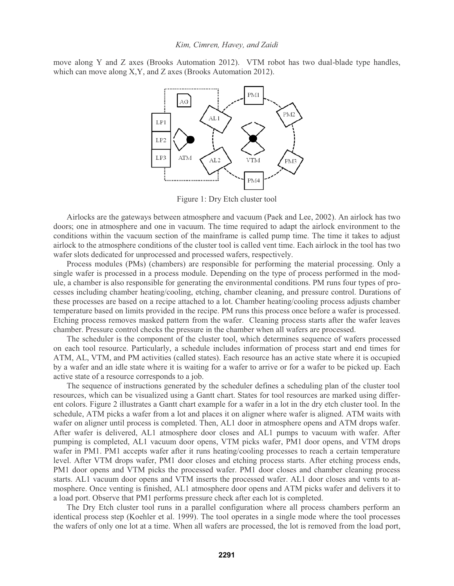move along Y and Z axes (Brooks Automation 2012). VTM robot has two dual-blade type handles, which can move along X,Y, and Z axes (Brooks Automation 2012).



Figure 1: Dry Etch cluster tool

 Airlocks are the gateways between atmosphere and vacuum (Paek and Lee, 2002). An airlock has two doors; one in atmosphere and one in vacuum. The time required to adapt the airlock environment to the conditions within the vacuum section of the mainframe is called pump time. The time it takes to adjust airlock to the atmosphere conditions of the cluster tool is called vent time. Each airlock in the tool has two wafer slots dedicated for unprocessed and processed wafers, respectively.

 Process modules (PMs) (chambers) are responsible for performing the material processing. Only a single wafer is processed in a process module. Depending on the type of process performed in the module, a chamber is also responsible for generating the environmental conditions. PM runs four types of processes including chamber heating/cooling, etching, chamber cleaning, and pressure control. Durations of these processes are based on a recipe attached to a lot. Chamber heating/cooling process adjusts chamber temperature based on limits provided in the recipe. PM runs this process once before a wafer is processed. Etching process removes masked pattern from the wafer. Cleaning process starts after the wafer leaves chamber. Pressure control checks the pressure in the chamber when all wafers are processed.

 The scheduler is the component of the cluster tool, which determines sequence of wafers processed on each tool resource. Particularly, a schedule includes information of process start and end times for ATM, AL, VTM, and PM activities (called states). Each resource has an active state where it is occupied by a wafer and an idle state where it is waiting for a wafer to arrive or for a wafer to be picked up. Each active state of a resource corresponds to a job.

 The sequence of instructions generated by the scheduler defines a scheduling plan of the cluster tool resources, which can be visualized using a Gantt chart. States for tool resources are marked using different colors. Figure 2 illustrates a Gantt chart example for a wafer in a lot in the dry etch cluster tool. In the schedule, ATM picks a wafer from a lot and places it on aligner where wafer is aligned. ATM waits with wafer on aligner until process is completed. Then, AL1 door in atmosphere opens and ATM drops wafer. After wafer is delivered, AL1 atmosphere door closes and AL1 pumps to vacuum with wafer. After pumping is completed, AL1 vacuum door opens, VTM picks wafer, PM1 door opens, and VTM drops wafer in PM1. PM1 accepts wafer after it runs heating/cooling processes to reach a certain temperature level. After VTM drops wafer, PM1 door closes and etching process starts. After etching process ends, PM1 door opens and VTM picks the processed wafer. PM1 door closes and chamber cleaning process starts. AL1 vacuum door opens and VTM inserts the processed wafer. AL1 door closes and vents to atmosphere. Once venting is finished, AL1 atmosphere door opens and ATM picks wafer and delivers it to a load port. Observe that PM1 performs pressure check after each lot is completed.

The Dry Etch cluster tool runs in a parallel configuration where all process chambers perform an identical process step (Koehler et al. 1999). The tool operates in a single mode where the tool processes the wafers of only one lot at a time. When all wafers are processed, the lot is removed from the load port,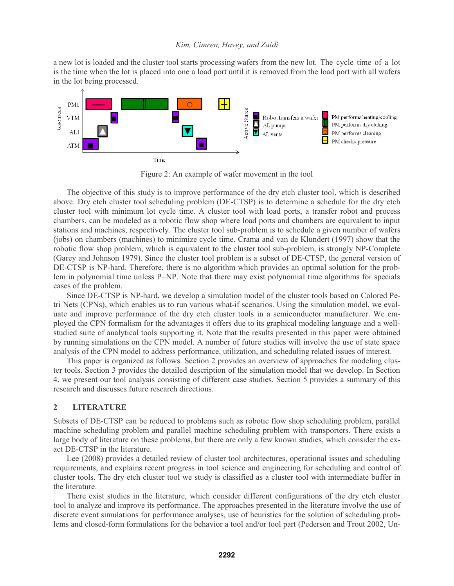a new lot is loaded and the cluster tool starts processing wafers from the new lot. The cycle time of a lot is the time when the lot is placed into one a load port until it is removed from the load port with all wafers in the lot being processed.



Figure 2: An example of wafer movement in the tool

 The objective of this study is to improve performance of the dry etch cluster tool, which is described above. Dry etch cluster tool scheduling problem (DE-CTSP) is to determine a schedule for the dry etch cluster tool with minimum lot cycle time. A cluster tool with load ports, a transfer robot and process chambers, can be modeled as a robotic flow shop where load ports and chambers are equivalent to input stations and machines, respectively. The cluster tool sub-problem is to schedule a given number of wafers (jobs) on chambers (machines) to minimize cycle time. Crama and van de Klundert (1997) show that the robotic flow shop problem, which is equivalent to the cluster tool sub-problem, is strongly NP-Complete (Garey and Johnson 1979). Since the cluster tool problem is a subset of DE-CTSP, the general version of DE-CTSP is NP-hard. Therefore, there is no algorithm which provides an optimal solution for the problem in polynomial time unless P=NP. Note that there may exist polynomial time algorithms for specials cases of the problem.

Since DE-CTSP is NP-hard, we develop a simulation model of the cluster tools based on Colored Petri Nets (CPNs), which enables us to run various what-if scenarios. Using the simulation model, we evaluate and improve performance of the dry etch cluster tools in a semiconductor manufacturer. We employed the CPN formalism for the advantages it offers due to its graphical modeling language and a wellstudied suite of analytical tools supporting it. Note that the results presented in this paper were obtained by running simulations on the CPN model. A number of future studies will involve the use of state space analysis of the CPN model to address performance, utilization, and scheduling related issues of interest.

 This paper is organized as follows. Section 2 provides an overview of approaches for modeling cluster tools. Section 3 provides the detailed description of the simulation model that we develop. In Section 4, we present our tool analysis consisting of different case studies. Section 5 provides a summary of this research and discusses future research directions.

## **2 LITERATURE**

Subsets of DE-CTSP can be reduced to problems such as robotic flow shop scheduling problem, parallel machine scheduling problem and parallel machine scheduling problem with transporters. There exists a large body of literature on these problems, but there are only a few known studies, which consider the exact DE-CTSP in the literature.

Lee (2008) provides a detailed review of cluster tool architectures, operational issues and scheduling requirements, and explains recent progress in tool science and engineering for scheduling and control of cluster tools. The dry etch cluster tool we study is classified as a cluster tool with intermediate buffer in the literature.

There exist studies in the literature, which consider different configurations of the dry etch cluster tool to analyze and improve its performance. The approaches presented in the literature involve the use of discrete event simulations for performance analyses, use of heuristics for the solution of scheduling problems and closed-form formulations for the behavior a tool and/or tool part (Pederson and Trout 2002, Un-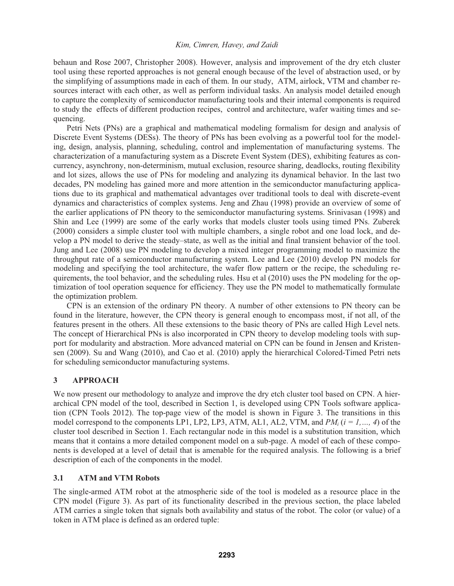behaun and Rose 2007, Christopher 2008). However, analysis and improvement of the dry etch cluster tool using these reported approaches is not general enough because of the level of abstraction used, or by the simplifying of assumptions made in each of them. In our study, ATM, airlock, VTM and chamber resources interact with each other, as well as perform individual tasks. An analysis model detailed enough to capture the complexity of semiconductor manufacturing tools and their internal components is required to study the effects of different production recipes, control and architecture, wafer waiting times and sequencing.

Petri Nets (PNs) are a graphical and mathematical modeling formalism for design and analysis of Discrete Event Systems (DESs). The theory of PNs has been evolving as a powerful tool for the modeling, design, analysis, planning, scheduling, control and implementation of manufacturing systems. The characterization of a manufacturing system as a Discrete Event System (DES), exhibiting features as concurrency, asynchrony, non-determinism, mutual exclusion, resource sharing, deadlocks, routing flexibility and lot sizes, allows the use of PNs for modeling and analyzing its dynamical behavior. In the last two decades, PN modeling has gained more and more attention in the semiconductor manufacturing applications due to its graphical and mathematical advantages over traditional tools to deal with discrete-event dynamics and characteristics of complex systems. Jeng and Zhau (1998) provide an overview of some of the earlier applications of PN theory to the semiconductor manufacturing systems. Srinivasan (1998) and Shin and Lee (1999) are some of the early works that models cluster tools using timed PNs. Zuberek (2000) considers a simple cluster tool with multiple chambers, a single robot and one load lock, and develop a PN model to derive the steady–state, as well as the initial and final transient behavior of the tool. Jung and Lee (2008) use PN modeling to develop a mixed integer programming model to maximize the throughput rate of a semiconductor manufacturing system. Lee and Lee (2010) develop PN models for modeling and specifying the tool architecture, the wafer flow pattern or the recipe, the scheduling requirements, the tool behavior, and the scheduling rules. Hsu et al (2010) uses the PN modeling for the optimization of tool operation sequence for efficiency. They use the PN model to mathematically formulate the optimization problem.

CPN is an extension of the ordinary PN theory. A number of other extensions to PN theory can be found in the literature, however, the CPN theory is general enough to encompass most, if not all, of the features present in the others. All these extensions to the basic theory of PNs are called High Level nets. The concept of Hierarchical PNs is also incorporated in CPN theory to develop modeling tools with support for modularity and abstraction. More advanced material on CPN can be found in Jensen and Kristensen (2009). Su and Wang (2010), and Cao et al. (2010) apply the hierarchical Colored-Timed Petri nets for scheduling semiconductor manufacturing systems.

# **3 APPROACH**

We now present our methodology to analyze and improve the dry etch cluster tool based on CPN. A hierarchical CPN model of the tool, described in Section 1, is developed using CPN Tools software application (CPN Tools 2012). The top-page view of the model is shown in Figure 3. The transitions in this model correspond to the components LP1, LP2, LP3, ATM, AL1, AL2, VTM, and  $PM_i$  ( $i = 1, ..., 4$ ) of the cluster tool described in Section 1. Each rectangular node in this model is a substitution transition, which means that it contains a more detailed component model on a sub-page. A model of each of these components is developed at a level of detail that is amenable for the required analysis. The following is a brief description of each of the components in the model.

## **3.1 ATM and VTM Robots**

The single-armed ATM robot at the atmospheric side of the tool is modeled as a resource place in the CPN model (Figure 3). As part of its functionality described in the previous section, the place labeled ATM carries a single token that signals both availability and status of the robot. The color (or value) of a token in ATM place is defined as an ordered tuple: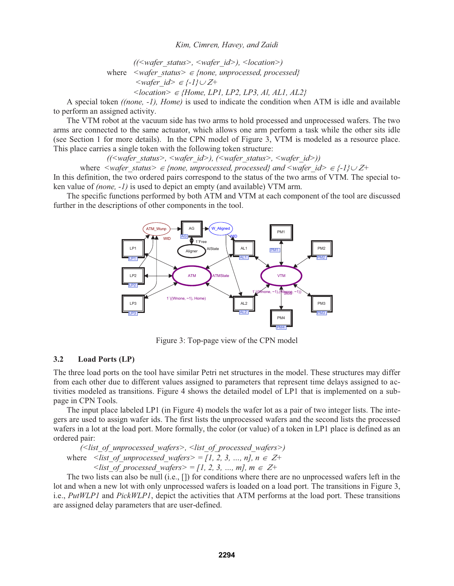*((<wafer\_status>, <wafer\_id>), <location>)*  where  $\langle\text{wafter\_status}\rangle \in \{none, unprocessed, processed\}$  $\langle \text{wager\_id} \rangle \in \{-1\} \cup \mathbb{Z}^+$  $\langle$  *< location* >  $\in$  {Home, LP1, LP2, LP3, Al, AL1, AL2}

 A special token *((none, -1), Home)* is used to indicate the condition when ATM is idle and available to perform an assigned activity.

 The VTM robot at the vacuum side has two arms to hold processed and unprocessed wafers. The two arms are connected to the same actuator, which allows one arm perform a task while the other sits idle (see Section 1 for more details). In the CPN model of Figure 3, VTM is modeled as a resource place. This place carries a single token with the following token structure:

*((<wafer\_status>, <wafer\_id>), (<wafer\_status>, <wafer\_id>))* 

where  $\langle\text{wafter\_status}\rangle \in \{none, \text{unprocessed}, \text{processed}\}\$  and  $\langle\text{wafter\_id}\rangle \in \{-1\} \cup \mathbb{Z}^+$ 

In this definition, the two ordered pairs correspond to the status of the two arms of VTM. The special token value of *(none, -1)* is used to depict an empty (and available) VTM arm.

 The specific functions performed by both ATM and VTM at each component of the tool are discussed further in the descriptions of other components in the tool.



Figure 3: Top-page view of the CPN model

### **3.2 Load Ports (LP)**

The three load ports on the tool have similar Petri net structures in the model. These structures may differ from each other due to different values assigned to parameters that represent time delays assigned to activities modeled as transitions. Figure 4 shows the detailed model of LP1 that is implemented on a subpage in CPN Tools.

 The input place labeled LP1 (in Figure 4) models the wafer lot as a pair of two integer lists. The integers are used to assign wafer ids. The first lists the unprocessed wafers and the second lists the processed wafers in a lot at the load port. More formally, the color (or value) of a token in LP1 place is defined as an ordered pair:

*(<list\_of\_unprocessed\_wafers>, <list\_of\_processed\_wafers>)*  where  $\leq$  list of unprocessed wafers> = [1, 2, 3, ..., n], n  $\in$  Z+  $\leq$  *list\_of\_processed\_wafers* $> = [1, 2, 3, ..., m]$ ,  $m \in \mathbb{Z}^{+}$ 

 The two lists can also be null (i.e., []) for conditions where there are no unprocessed wafers left in the lot and when a new lot with only unprocessed wafers is loaded on a load port. The transitions in Figure 3, i.e., *PutWLP1* and *PickWLP1*, depict the activities that ATM performs at the load port. These transitions are assigned delay parameters that are user-defined.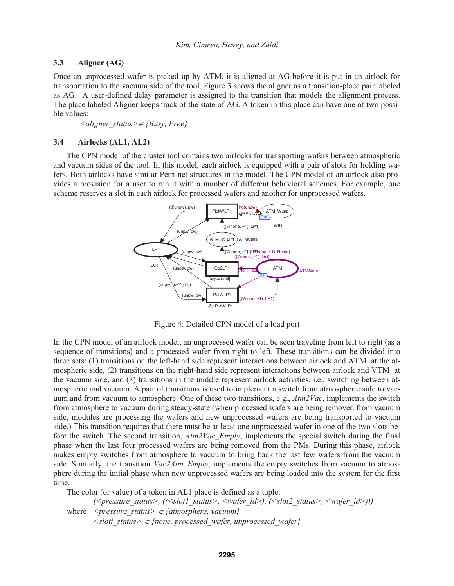## **3.3 Aligner (AG)**

Once an unprocessed wafer is picked up by ATM, it is aligned at AG before it is put in an airlock for transportation to the vacuum side of the tool. Figure 3 shows the aligner as a transition-place pair labeled as AG. A user-defined delay parameter is assigned to the transition that models the alignment process. The place labeled Aligner keeps track of the state of AG. A token in this place can have one of two possible values:

*<aligner\_status>*- *{Busy, Free}* 

## **3.4 Airlocks (AL1, AL2)**

The CPN model of the cluster tool contains two airlocks for transporting wafers between atmospheric and vacuum sides of the tool. In this model, each airlock is equipped with a pair of slots for holding wafers. Both airlocks have similar Petri net structures in the model. The CPN model of an airlock also provides a provision for a user to run it with a number of different behavioral schemes. For example, one scheme reserves a slot in each airlock for processed wafers and another for unprocessed wafers.



Figure 4: Detailed CPN model of a load port

In the CPN model of an airlock model, an unprocessed wafer can be seen traveling from left to right (as a sequence of transitions) and a processed wafer from right to left. These transitions can be divided into three sets: (1) transitions on the left-hand side represent interactions between airlock and ATM at the atmospheric side, (2) transitions on the right-hand side represent interactions between airlock and VTM at the vacuum side, and (3) transitions in the middle represent airlock activities, i.e., switching between atmospheric and vacuum. A pair of transitions is used to implement a switch from atmospheric side to vacuum and from vacuum to atmosphere. One of these two transitions, e.g., *Atm2Vac*, implements the switch from atmosphere to vacuum during steady-state (when processed wafers are being removed from vacuum side, modules are processing the wafers and new unprocessed wafers are being transported to vacuum side.) This transition requires that there must be at least one unprocessed wafer in one of the two slots before the switch. The second transition, *Atm2Vac\_Empty*, implements the special switch during the final phase when the last four processed wafers are being removed from the PMs. During this phase, airlock makes empty switches from atmosphere to vacuum to bring back the last few wafers from the vacuum side. Similarly, the transition *Vac2Atm\_Empty*, implements the empty switches from vacuum to atmosphere during the initial phase when new unprocessed wafers are being loaded into the system for the first time.

The color (or value) of a token in AL1 place is defined as a tuple:

*(<pressure\_status>, ((<slot1\_status>, <wafer\_id>), (<slot2\_status>, <wafer\_id>)))*  where  $\langle \text{pressure}\rangle \leq \{atmosphere, vacuum\}$ *<sloti\_status>* - *{none, processed\_wafer, unprocessed\_wafer}*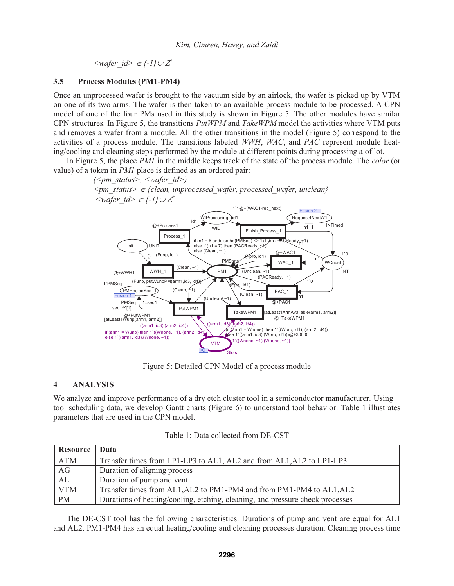$\langle \text{wafter\_id} \rangle \in \{-1\} \cup \mathbb{Z}^+$ 

### **3.5 Process Modules (PM1-PM4)**

Once an unprocessed wafer is brought to the vacuum side by an airlock, the wafer is picked up by VTM on one of its two arms. The wafer is then taken to an available process module to be processed. A CPN model of one of the four PMs used in this study is shown in Figure 5. The other modules have similar CPN structures. In Figure 5, the transitions *PutWPM* and *TakeWPM* model the activities where VTM puts and removes a wafer from a module. All the other transitions in the model (Figure 5) correspond to the activities of a process module. The transitions labeled *WWH*, *WAC*, and *PAC* represent module heating/cooling and cleaning steps performed by the module at different points during processing a of lot.

 In Figure 5, the place *PM1* in the middle keeps track of the state of the process module. The *color* (or value) of a token in *PM1* place is defined as an ordered pair:

> *(<pm\_status>, <wafer\_id>) <pm\_status>* - *{clean, unprocessed\_wafer, processed\_wafer, unclean}*   $\langle \text{wafter}_id \rangle \in \{-1\} \cup \mathbb{Z}^+$



Figure 5: Detailed CPN Model of a process module

### **4 ANALYSIS**

We analyze and improve performance of a dry etch cluster tool in a semiconductor manufacturer. Using tool scheduling data, we develop Gantt charts (Figure 6) to understand tool behavior. Table 1 illustrates parameters that are used in the CPN model.

|  |  |  |  |  | Table 1: Data collected from DE-CST |
|--|--|--|--|--|-------------------------------------|
|--|--|--|--|--|-------------------------------------|

| Resource   Data |                                                                               |
|-----------------|-------------------------------------------------------------------------------|
| <b>ATM</b>      | Transfer times from LP1-LP3 to AL1, AL2 and from AL1, AL2 to LP1-LP3          |
| AG              | Duration of aligning process                                                  |
| AL              | Duration of pump and vent                                                     |
| <b>VTM</b>      | Transfer times from AL1, AL2 to PM1-PM4 and from PM1-PM4 to AL1, AL2          |
| <b>PM</b>       | Durations of heating/cooling, etching, cleaning, and pressure check processes |

 The DE-CST tool has the following characteristics. Durations of pump and vent are equal for AL1 and AL2. PM1-PM4 has an equal heating/cooling and cleaning processes duration. Cleaning process time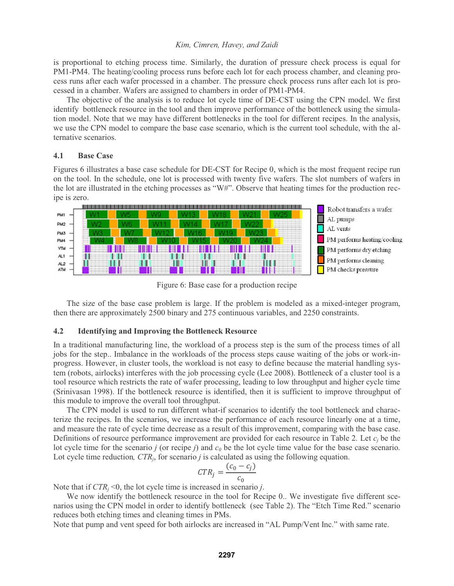is proportional to etching process time. Similarly, the duration of pressure check process is equal for PM1-PM4. The heating/cooling process runs before each lot for each process chamber, and cleaning process runs after each wafer processed in a chamber. The pressure check process runs after each lot is processed in a chamber. Wafers are assigned to chambers in order of PM1-PM4.

 The objective of the analysis is to reduce lot cycle time of DE-CST using the CPN model. We first identify bottleneck resource in the tool and then improve performance of the bottleneck using the simulation model. Note that we may have different bottlenecks in the tool for different recipes. In the analysis, we use the CPN model to compare the base case scenario, which is the current tool schedule, with the alternative scenarios.

### **4.1 Base Case**

Figures 6 illustrates a base case schedule for DE-CST for Recipe 0, which is the most frequent recipe run on the tool. In the schedule, one lot is processed with twenty five wafers. The slot numbers of wafers in the lot are illustrated in the etching processes as "W#". Observe that heating times for the production recipe is zero.



Figure 6: Base case for a production recipe

The size of the base case problem is large. If the problem is modeled as a mixed-integer program, then there are approximately 2500 binary and 275 continuous variables, and 2250 constraints.

### **4.2 Identifying and Improving the Bottleneck Resource**

In a traditional manufacturing line, the workload of a process step is the sum of the process times of all jobs for the step.. Imbalance in the workloads of the process steps cause waiting of the jobs or work-inprogress. However, in cluster tools, the workload is not easy to define because the material handling system (robots, airlocks) interferes with the job processing cycle (Lee 2008). Bottleneck of a cluster tool is a tool resource which restricts the rate of wafer processing, leading to low throughput and higher cycle time (Srinivasan 1998). If the bottleneck resource is identified, then it is sufficient to improve throughput of this module to improve the overall tool throughput.

 The CPN model is used to run different what-if scenarios to identify the tool bottleneck and characterize the recipes. In the scenarios, we increase the performance of each resource linearly one at a time, and measure the rate of cycle time decrease as a result of this improvement, comparing with the base case. Definitions of resource performance improvement are provided for each resource in Table 2. Let *cj* be the lot cycle time for the scenario *j* (or recipe *j*) and  $c_0$  be the lot cycle time value for the base case scenario. Lot cycle time reduction, *CTR<sub>i</sub>*, for scenario *j* is calculated as using the following equation.

$$
CTR_j = \frac{(c_0 - c_j)}{c_0}
$$

Note that if  $CTR_j \leq 0$ , the lot cycle time is increased in scenario *j*.

 We now identify the bottleneck resource in the tool for Recipe 0.. We investigate five different scenarios using the CPN model in order to identify bottleneck (see Table 2). The "Etch Time Red." scenario reduces both etching times and cleaning times in PMs.

Note that pump and vent speed for both airlocks are increased in "AL Pump/Vent Inc." with same rate.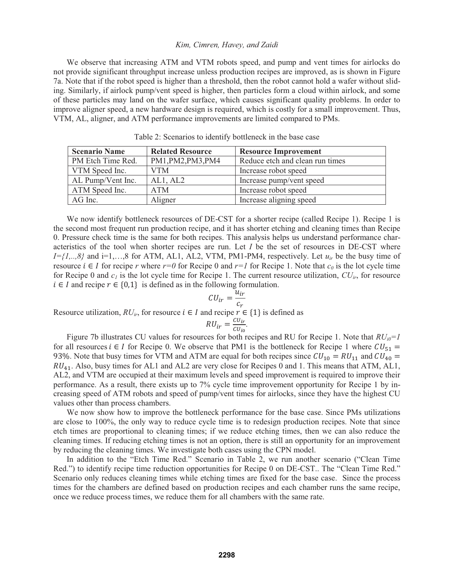We observe that increasing ATM and VTM robots speed, and pump and vent times for airlocks do not provide significant throughput increase unless production recipes are improved, as is shown in Figure 7a. Note that if the robot speed is higher than a threshold, then the robot cannot hold a wafer without sliding. Similarly, if airlock pump/vent speed is higher, then particles form a cloud within airlock, and some of these particles may land on the wafer surface, which causes significant quality problems. In order to improve aligner speed, a new hardware design is required, which is costly for a small improvement. Thus, VTM, AL, aligner, and ATM performance improvements are limited compared to PMs.

| <b>Scenario Name</b> | <b>Related Resource</b> | <b>Resource Improvement</b>     |
|----------------------|-------------------------|---------------------------------|
| PM Etch Time Red.    | PM1, PM2, PM3, PM4      | Reduce etch and clean run times |
| VTM Speed Inc.       | <b>VTM</b>              | Increase robot speed            |
| AL Pump/Vent Inc.    | AL1, AL2                | Increase pump/vent speed        |
| ATM Speed Inc.       | <b>ATM</b>              | Increase robot speed            |
| AG Inc.              | Aligner                 | Increase aligning speed         |

Table 2: Scenarios to identify bottleneck in the base case

We now identify bottleneck resources of DE-CST for a shorter recipe (called Recipe 1). Recipe 1 is the second most frequent run production recipe, and it has shorter etching and cleaning times than Recipe 0. Pressure check time is the same for both recipes. This analysis helps us understand performance characteristics of the tool when shorter recipes are run. Let *I* be the set of resources in DE-CST where  $I = \{1, \ldots, 8\}$  and  $i = 1, \ldots, 8$  for ATM, AL1, AL2, VTM, PM1-PM4, respectively. Let  $u_{ir}$  be the busy time of resource  $i \in I$  for recipe  $r$  where  $r=0$  for Recipe 0 and  $r=1$  for Recipe 1. Note that  $c_0$  is the lot cycle time for Recipe 0 and  $c_1$  is the lot cycle time for Recipe 1. The current resource utilization,  $CU_{ir}$ , for resource  $i \in I$  and recipe  $r \in \{0,1\}$  is defined as in the following formulation.

$$
CU_{ir} = \frac{u_{ir}}{c_r}
$$

Resource utilization,  $RU_{ir}$ , for resource  $i \in I$  and recipe  $r \in \{1\}$  is defined as

$$
RU_{ir} = \frac{CU_{ir}}{CU_{io}}
$$

.

Figure 7b illustrates CU values for resources for both recipes and RU for Recipe 1. Note that  $RU_{i0} = 1$ for all resources  $i \in I$  for Recipe 0. We observe that PM1 is the bottleneck for Recipe 1 where  $CU_{51} =$ 93%. Note that busy times for VTM and ATM are equal for both recipes since  $CU_{10} = RU_{11}$  and  $CU_{40} =$  $RU_{41}$ . Also, busy times for AL1 and AL2 are very close for Recipes 0 and 1. This means that ATM, AL1, AL2, and VTM are occupied at their maximum levels and speed improvement is required to improve their performance. As a result, there exists up to 7% cycle time improvement opportunity for Recipe 1 by increasing speed of ATM robots and speed of pump/vent times for airlocks, since they have the highest CU values other than process chambers.

We now show how to improve the bottleneck performance for the base case. Since PMs utilizations are close to 100%, the only way to reduce cycle time is to redesign production recipes. Note that since etch times are proportional to cleaning times; if we reduce etching times, then we can also reduce the cleaning times. If reducing etching times is not an option, there is still an opportunity for an improvement by reducing the cleaning times. We investigate both cases using the CPN model.

In addition to the "Etch Time Red." Scenario in Table 2, we run another scenario ("Clean Time Red.") to identify recipe time reduction opportunities for Recipe 0 on DE-CST.. The "Clean Time Red." Scenario only reduces cleaning times while etching times are fixed for the base case. Since the process times for the chambers are defined based on production recipes and each chamber runs the same recipe, once we reduce process times, we reduce them for all chambers with the same rate.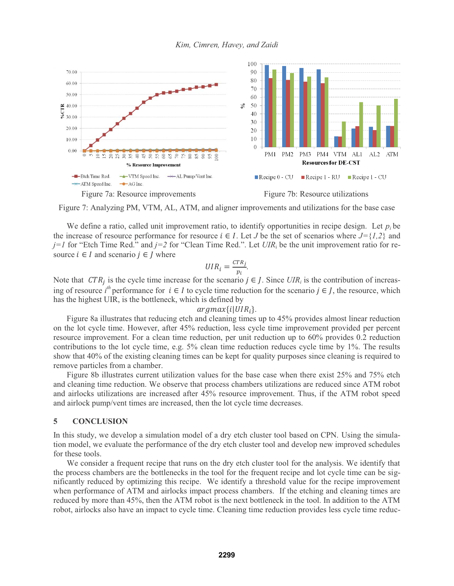

Figure 7: Analyzing PM, VTM, AL, ATM, and aligner improvements and utilizations for the base case

We define a ratio, called unit improvement ratio, to identify opportunities in recipe design. Let  $p_i$  be the increase of resource performance for resource  $i \in I$ . Let *J* be the set of scenarios where  $J = \{1, 2\}$  and *j=1* for "Etch Time Red." and *j=2* for "Clean Time Red.". Let *UIR*i be the unit improvement ratio for resource  $i \in I$  and scenario  $j \in J$  where

$$
UIR_i = \frac{CTR_j}{p_i}.
$$

Note that  $CTR_j$  is the cycle time increase for the scenario  $j \in J$ . Since  $UIR_i$  is the contribution of increasing of resource  $i^h$  performance for  $i \in I$  to cycle time reduction for the scenario  $j \in J$ , the resource, which has the highest UIR, is the bottleneck, which is defined by

## $argmax\{i | UIR_i\}.$

 Figure 8a illustrates that reducing etch and cleaning times up to 45% provides almost linear reduction on the lot cycle time. However, after 45% reduction, less cycle time improvement provided per percent resource improvement. For a clean time reduction, per unit reduction up to 60% provides 0.2 reduction contributions to the lot cycle time, e.g. 5% clean time reduction reduces cycle time by 1%. The results show that 40% of the existing cleaning times can be kept for quality purposes since cleaning is required to remove particles from a chamber.

 Figure 8b illustrates current utilization values for the base case when there exist 25% and 75% etch and cleaning time reduction. We observe that process chambers utilizations are reduced since ATM robot and airlocks utilizations are increased after 45% resource improvement. Thus, if the ATM robot speed and airlock pump/vent times are increased, then the lot cycle time decreases.

#### **5 CONCLUSION**

In this study, we develop a simulation model of a dry etch cluster tool based on CPN. Using the simulation model, we evaluate the performance of the dry etch cluster tool and develop new improved schedules for these tools.

 We consider a frequent recipe that runs on the dry etch cluster tool for the analysis. We identify that the process chambers are the bottlenecks in the tool for the frequent recipe and lot cycle time can be significantly reduced by optimizing this recipe. We identify a threshold value for the recipe improvement when performance of ATM and airlocks impact process chambers. If the etching and cleaning times are reduced by more than 45%, then the ATM robot is the next bottleneck in the tool. In addition to the ATM robot, airlocks also have an impact to cycle time. Cleaning time reduction provides less cycle time reduc-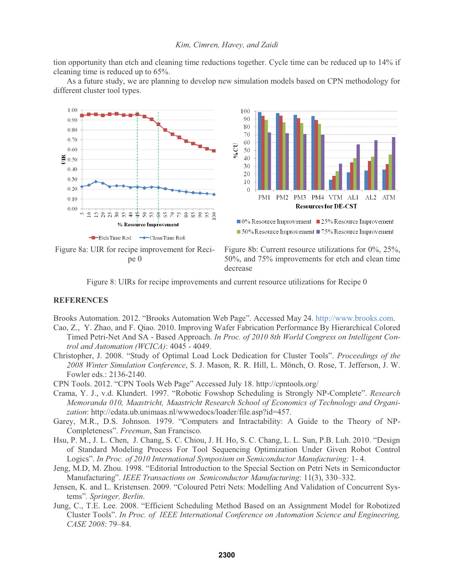tion opportunity than etch and cleaning time reductions together. Cycle time can be reduced up to 14% if cleaning time is reduced up to 65%.

 As a future study, we are planning to develop new simulation models based on CPN methodology for different cluster tool types.



pe 0

50%, and 75% improvements for etch and clean time decrease

Figure 8: UIRs for recipe improvements and current resource utilizations for Recipe 0

#### **REFERENCES**

Brooks Automation. 2012. "Brooks Automation Web Page". Accessed May 24. http://www.brooks.com.

- Cao, Z., Y. Zhao, and F. Qiao. 2010. Improving Wafer Fabrication Performance By Hierarchical Colored Timed Petri-Net And SA - Based Approach. *In Proc. of 2010 8th World Congress on Intelligent Control and Automation (WCICA)*: 4045 - 4049.
- Christopher, J. 2008. "Study of Optimal Load Lock Dedication for Cluster Tools". *Proceedings of the 2008 Winter Simulation Conference*, S. J. Mason, R. R. Hill, L. Mönch, O. Rose, T. Jefferson, J. W. Fowler eds.: 2136-2140.
- CPN Tools. 2012. "CPN Tools Web Page" Accessed July 18. http://cpntools.org/
- Crama, Y. J., v.d. Klundert. 1997. "Robotic Fowshop Scheduling is Strongly NP-Complete". *Research Memoranda 010, Maastricht, Maastricht Research School of Economics of Technology and Organization*: http://edata.ub.unimaas.nl/wwwedocs/loader/file.asp?id=457.
- Garey, M.R., D.S. Johnson. 1979. "Computers and Intractability: A Guide to the Theory of NP-Completeness". *Freeman*, San Francisco.
- Hsu, P. M., J. L. Chen, J. Chang, S. C. Chiou, J. H. Ho, S. C. Chang, L. L. Sun, P.B. Luh. 2010. "Design of Standard Modeling Process For Tool Sequencing Optimization Under Given Robot Control Logics". *In Proc. of 2010 International Symposium on Semiconductor Manufacturing:* 1- 4.
- Jeng, M.D, M. Zhou. 1998. "Editorial Introduction to the Special Section on Petri Nets in Semiconductor Manufacturing". *IEEE Transactions on Semiconductor Manufacturing*: 11(3), 330–332.
- Jensen, K. and L. Kristensen. 2009. "Coloured Petri Nets: Modelling And Validation of Concurrent Systems"*. Springer, Berlin*.
- Jung, C., T.E. Lee. 2008. "Efficient Scheduling Method Based on an Assignment Model for Robotized Cluster Tools". *In Proc. of IEEE International Conference on Automation Science and Engineering, CASE 2008*: 79–84.